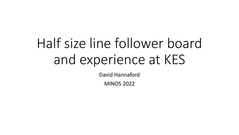# Half size line follower board and experience at KES

David Hannaford

MINOS 2022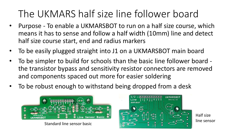### The UKMARS half size line follower board

- Purpose To enable a UKMARSBOT to run on a half size course, which means it has to sense and follow a half width (10mm) line and detect half size course start, end and radius markers
- To be easily plugged straight into J1 on a UKMARSBOT main board
- To be simpler to build for schools than the basic line follower board the transistor bypass and sensitivity resistor connectors are removed and components spaced out more for easier soldering
- To be robust enough to withstand being dropped from a desk



Standard line sensor basic



Half size line sensor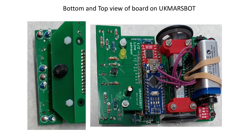#### Bottom and Top view of board on UKMARSBOT



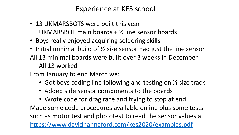### Experience at KES school

- 13 UKMARSBOTS were built this year UKMARSBOT main boards + ½ line sensor boards
- Boys really enjoyed acquiring soldering skills
- Initial minimal build of 1/2 size sensor had just the line sensor All 13 minimal boards were built over 3 weeks in December All 13 worked

From January to end March we:

- Got boys coding line following and testing on ½ size track
- Added side sensor components to the boards

• Wrote code for drag race and trying to stop at end Made some code procedures available online plus some tests such as motor test and phototest to read the sensor values at <https://www.davidhannaford.com/kes2020/examples.pdf>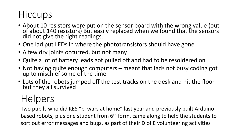### **Hiccups**

- About 10 resistors were put on the sensor board with the wrong value (out of about 140 resistors) But easily replaced when we found that the sensors did not give the right readings.
- One lad put LEDs in where the phototransistors should have gone
- A few dry joints occurred, but not many
- Quite a lot of battery leads got pulled off and had to be resoldered on
- Not having quite enough computers meant that lads not busy coding got up to mischief some of the time
- Lots of the robots jumped off the test tracks on the desk and hit the floor but they all survived

### Helpers

Two pupils who did KES "pi wars at home" last year and previously built Arduino based robots, plus one student from 6<sup>th</sup> form, came along to help the students to sort out error messages and bugs, as part of their D of E volunteering activities